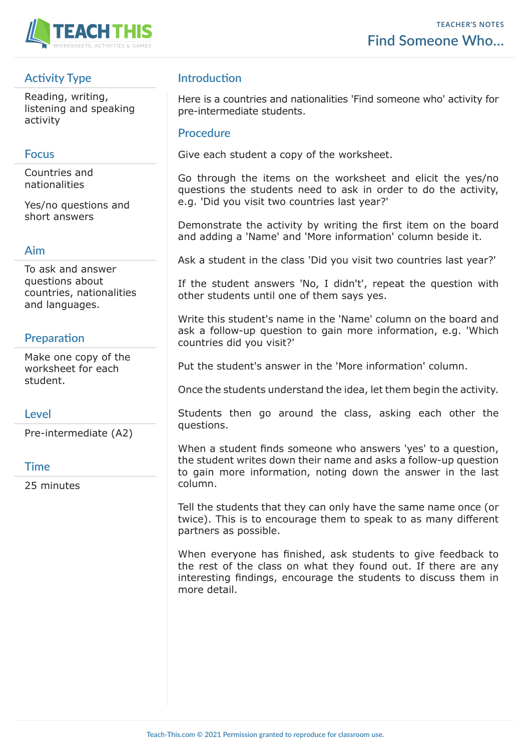

# **Activity Type**

Reading, writing, listening and speaking activity

## **Focus**

Countries and nationalities

Yes/no questions and short answers

#### **Aim**

To ask and answer questions about countries, nationalities and languages.

# **Preparation**

Make one copy of the worksheet for each student.

## **Level**

Pre-intermediate (A2)

#### **Time**

25 minutes

# **Introduction**

Here is a countries and nationalities 'Find someone who' activity for pre-intermediate students.

### **Procedure**

Give each student a copy of the worksheet.

Go through the items on the worksheet and elicit the yes/no questions the students need to ask in order to do the activity, e.g. 'Did you visit two countries last year?'

Demonstrate the activity by writing the first item on the board and adding a 'Name' and 'More information' column beside it.

Ask a student in the class 'Did you visit two countries last year?'

If the student answers 'No, I didn't', repeat the question with other students until one of them says yes.

Write this student's name in the 'Name' column on the board and ask a follow-up question to gain more information, e.g. 'Which countries did you visit?'

Put the student's answer in the 'More information' column.

Once the students understand the idea, let them begin the activity.

Students then go around the class, asking each other the questions.

When a student finds someone who answers 'yes' to a question, the student writes down their name and asks a follow-up question to gain more information, noting down the answer in the last column.

Tell the students that they can only have the same name once (or twice). This is to encourage them to speak to as many different partners as possible.

When everyone has finished, ask students to give feedback to the rest of the class on what they found out. If there are any interesting findings, encourage the students to discuss them in more detail.